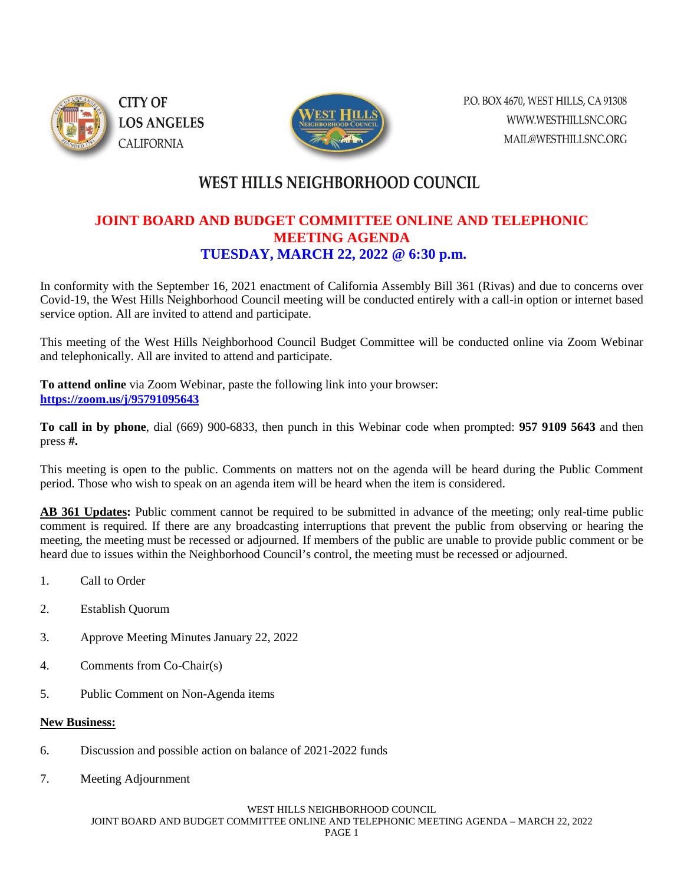

P.O. BOX 4670, WEST HILLS, CA 91308 WWW.WESTHILLSNC.ORG MAIL@WESTHILLSNC.ORG

# **WEST HILLS NEIGHBORHOOD COUNCIL**

### **JOINT BOARD AND BUDGET COMMITTEE ONLINE AND TELEPHONIC MEETING AGENDA TUESDAY, MARCH 22, 2022 @ 6:30 p.m.**

In conformity with the September 16, 2021 enactment of California Assembly Bill 361 (Rivas) and due to concerns over Covid-19, the West Hills Neighborhood Council meeting will be conducted entirely with a call-in option or internet based service option. All are invited to attend and participate.

This meeting of the West Hills Neighborhood Council Budget Committee will be conducted online via Zoom Webinar and telephonically. All are invited to attend and participate.

**To attend online** via Zoom Webinar, paste the following link into your browser: **<https://zoom.us/j/95791095643>**

**To call in by phone**, dial (669) 900-6833, then punch in this Webinar code when prompted: **957 9109 5643** and then press **#.**

This meeting is open to the public. Comments on matters not on the agenda will be heard during the Public Comment period. Those who wish to speak on an agenda item will be heard when the item is considered.

**AB 361 Updates:** Public comment cannot be required to be submitted in advance of the meeting; only real-time public comment is required. If there are any broadcasting interruptions that prevent the public from observing or hearing the meeting, the meeting must be recessed or adjourned. If members of the public are unable to provide public comment or be heard due to issues within the Neighborhood Council's control, the meeting must be recessed or adjourned.

- 1. Call to Order
- 2. Establish Quorum
- 3. Approve Meeting Minutes January 22, 2022
- 4. Comments from Co-Chair(s)
- 5. Public Comment on Non-Agenda items

### **New Business:**

- 6. Discussion and possible action on balance of 2021-2022 funds
- 7. Meeting Adjournment

#### WEST HILLS NEIGHBORHOOD COUNCIL

JOINT BOARD AND BUDGET COMMITTEE ONLINE AND TELEPHONIC MEETING AGENDA – MARCH 22, 2022 PAGE 1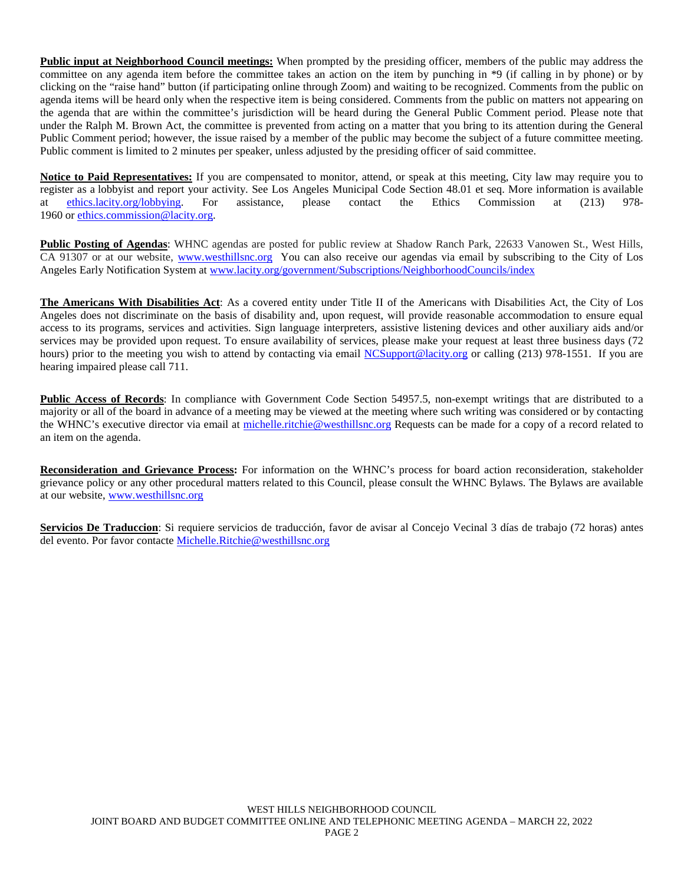**Public input at Neighborhood Council meetings:** When prompted by the presiding officer, members of the public may address the committee on any agenda item before the committee takes an action on the item by punching in \*9 (if calling in by phone) or by clicking on the "raise hand" button (if participating online through Zoom) and waiting to be recognized. Comments from the public on agenda items will be heard only when the respective item is being considered. Comments from the public on matters not appearing on the agenda that are within the committee's jurisdiction will be heard during the General Public Comment period. Please note that under the Ralph M. Brown Act, the committee is prevented from acting on a matter that you bring to its attention during the General Public Comment period; however, the issue raised by a member of the public may become the subject of a future committee meeting. Public comment is limited to 2 minutes per speaker, unless adjusted by the presiding officer of said committee.

Notice to Paid Representatives: If you are compensated to monitor, attend, or speak at this meeting, City law may require you to register as a lobbyist and report your activity. See Los Angeles Municipal Code Section 48.01 et seq. More information is available at [ethics.lacity.org/lobbying.](http://ethics.lacity.org/lobbying) For assistance, please contact the Ethics Commission at (213) 978- 1960 or [ethics.commission@lacity.org.](javascript:void(0);)

**Public Posting of Agendas**: WHNC agendas are posted for public review at Shadow Ranch Park, 22633 Vanowen St., West Hills, CA 91307 or at our website, [www.westhillsnc.org](http://www.westhillsnc.org/) You can also receive our agendas via email by subscribing to the City of Los Angeles Early Notification System at [www.lacity.org/government/Subscriptions/NeighborhoodCouncils/index](http://www.lacity.org/government/Subscriptions/NeighborhoodCouncils/index)

**The Americans With Disabilities Act**: As a covered entity under Title II of the Americans with Disabilities Act, the City of Los Angeles does not discriminate on the basis of disability and, upon request, will provide reasonable accommodation to ensure equal access to its programs, services and activities. Sign language interpreters, assistive listening devices and other auxiliary aids and/or services may be provided upon request. To ensure availability of services, please make your request at least three business days (72 hours) prior to the meeting you wish to attend by contacting via email [NCSupport@lacity.org](mailto:NCSupport@lacity.org) or calling (213) 978-1551. If you are hearing impaired please call 711.

**Public Access of Records**: In compliance with Government Code Section 54957.5, non-exempt writings that are distributed to a majority or all of the board in advance of a meeting may be viewed at the meeting where such writing was considered or by contacting the WHNC's executive director via email at [michelle.ritchie@westhillsnc.org](mailto:michelle.ritchie@westhillsnc.org) Requests can be made for a copy of a record related to an item on the agenda.

**Reconsideration and Grievance Process:** For information on the WHNC's process for board action reconsideration, stakeholder grievance policy or any other procedural matters related to this Council, please consult the WHNC Bylaws. The Bylaws are available at our website, [www.westhillsnc.org](http://www.westhillsnc.org/)

**Servicios De Traduccion**: Si requiere servicios de traducción, favor de avisar al Concejo Vecinal 3 días de trabajo (72 horas) antes del evento. Por favor contacte [Michelle.Ritchie@westhillsnc.org](mailto:Michelle.Ritchie@westhillsnc.org)